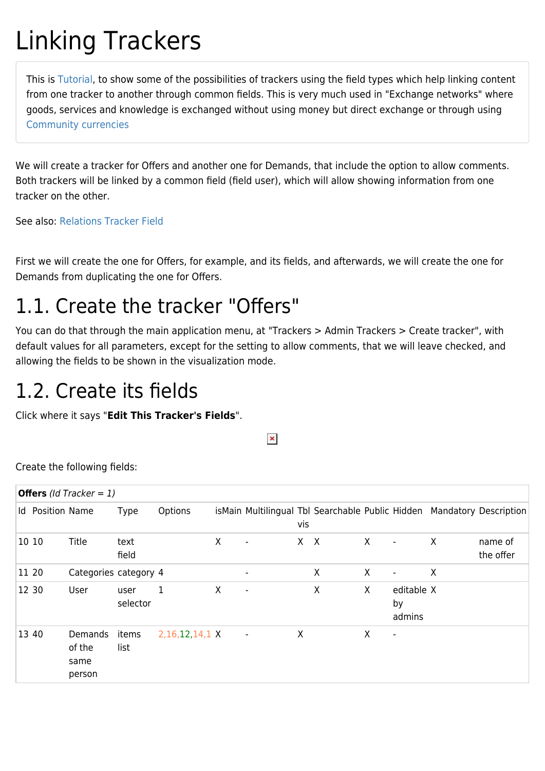# Linking Trackers

This is [Tutorial](https://doc.tiki.org/tutorial), to show some of the possibilities of trackers using the field types which help linking content from one tracker to another through common fields. This is very much used in "Exchange networks" where goods, services and knowledge is exchanged without using money but direct exchange or through using [Community currencies](https://doc.tiki.org/Mod-cc)

We will create a tracker for Offers and another one for Demands, that include the option to allow comments. Both trackers will be linked by a common field (field user), which will allow showing information from one tracker on the other.

See also: [Relations Tracker Field](https://doc.tiki.org/Relations-Tracker-Field)

First we will create the one for Offers, for example, and its fields, and afterwards, we will create the one for Demands from duplicating the one for Offers.

# 1.1. Create the tracker "Offers"

You can do that through the main application menu, at "Trackers > Admin Trackers > Create tracker", with default values for all parameters, except for the setting to allow comments, that we will leave checked, and allowing the fields to be shown in the visualization mode.

### 1.2. Create its fields

Click where it says "**Edit This Tracker's Fields**".

 $\pmb{\times}$ 

Create the following fields:

| <b>Offers</b> ( <i>Id Tracker = 1</i> ) |                                     |                  |                |   |                          |         |   |              |                            |         |                                                                        |
|-----------------------------------------|-------------------------------------|------------------|----------------|---|--------------------------|---------|---|--------------|----------------------------|---------|------------------------------------------------------------------------|
|                                         | <b>Id</b> Position Name             | <b>Type</b>      | Options        |   |                          | vis     |   |              |                            |         | isMain Multilingual Tbl Searchable Public Hidden Mandatory Description |
| 10 10                                   | Title                               | text<br>field    |                | X | $\overline{\phantom{a}}$ | $X$ $X$ |   | $\mathsf{X}$ | $\overline{\phantom{a}}$   | $\sf X$ | name of<br>the offer                                                   |
| 11 20                                   | Categories category 4               |                  |                |   |                          |         | X | X            | $\overline{\phantom{a}}$   | $\sf X$ |                                                                        |
| 12 30                                   | User                                | user<br>selector | 1              | X | $\blacksquare$           |         | X | X            | editable X<br>by<br>admins |         |                                                                        |
| 13 40                                   | Demands<br>of the<br>same<br>person | items<br>list    | 2,16,12,14,1 X |   | $\overline{\phantom{a}}$ | X       |   | X            | ٠                          |         |                                                                        |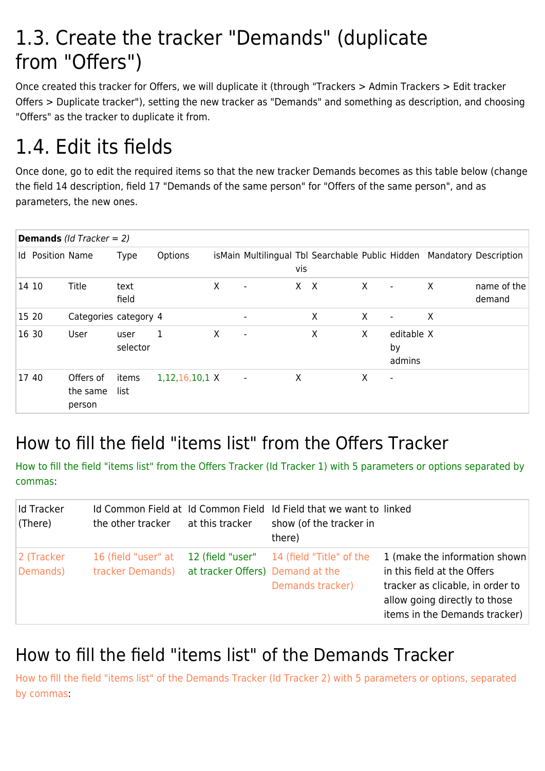### 1.3. Create the tracker "Demands" (duplicate from "Offers")

Once created this tracker for Offers, we will duplicate it (through "Trackers > Admin Trackers > Edit tracker Offers > Duplicate tracker"), setting the new tracker as "Demands" and something as description, and choosing "Offers" as the tracker to duplicate it from.

# 1.4. Edit its fields

Once done, go to edit the required items so that the new tracker Demands becomes as this table below (change the field 14 description, field 17 "Demands of the same person" for "Offers of the same person", and as parameters, the new ones.

| <b>Demands</b> ( <i>Id Tracker = 2</i> ) |                         |                                 |                  |                       |   |                          |       |   |          |                            |   |                                                                        |
|------------------------------------------|-------------------------|---------------------------------|------------------|-----------------------|---|--------------------------|-------|---|----------|----------------------------|---|------------------------------------------------------------------------|
|                                          | <b>Id</b> Position Name |                                 | <b>Type</b>      | Options               |   |                          | vis   |   |          |                            |   | isMain Multilingual Tbl Searchable Public Hidden Mandatory Description |
|                                          | 14 10                   | Title                           | text<br>field    |                       | X | $\overline{\phantom{a}}$ | $X$ X |   | $\times$ | $\overline{\phantom{a}}$   | X | name of the<br>demand                                                  |
|                                          | 15 20                   | Categories category 4           |                  |                       |   |                          |       | X | X        | $\blacksquare$             | X |                                                                        |
|                                          | 16 30                   | User                            | user<br>selector | 1                     | X | $\overline{\phantom{a}}$ |       | X | X        | editable X<br>by<br>admins |   |                                                                        |
|                                          | 17 40                   | Offers of<br>the same<br>person | items<br>list    | $1,12,16,10,1 \times$ |   | $\overline{\phantom{a}}$ | X     |   | X        | $\overline{\phantom{a}}$   |   |                                                                        |

#### How to fill the field "items list" from the Offers Tracker

How to fill the field "items list" from the Offers Tracker (Id Tracker 1) with 5 parameters or options separated by commas:

| Id Tracker<br>(There)  | the other tracker                       | at this tracker                  | Id Common Field at Id Common Field Id Field that we want to linked<br>show (of the tracker in<br>there) |                                                                                                                                                                    |
|------------------------|-----------------------------------------|----------------------------------|---------------------------------------------------------------------------------------------------------|--------------------------------------------------------------------------------------------------------------------------------------------------------------------|
| 2 (Tracker<br>Demands) | 16 (field "user" at<br>tracker Demands) | at tracker Offers) Demand at the | 12 (field "user" 14 (field "Title" of the<br>Demands tracker)                                           | 1 (make the information shown<br>in this field at the Offers<br>tracker as clicable, in order to<br>allow going directly to those<br>items in the Demands tracker) |

#### How to fill the field "items list" of the Demands Tracker

How to fill the field "items list" of the Demands Tracker (Id Tracker 2) with 5 parameters or options, separated by commas: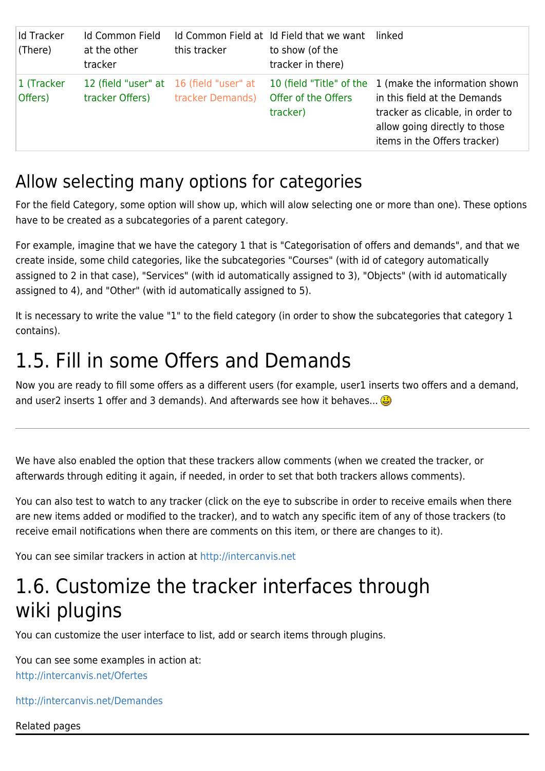| <b>Id Tracker</b><br>(There) | Id Common Field<br>at the other<br>tracker                 | this tracker     | Id Common Field at Id Field that we want linked<br>to show (of the<br>tracker in there) |                                                                                                                                                                                             |
|------------------------------|------------------------------------------------------------|------------------|-----------------------------------------------------------------------------------------|---------------------------------------------------------------------------------------------------------------------------------------------------------------------------------------------|
| 1 (Tracker<br>Offers)        | 12 (field "user" at 16 (field "user" at<br>tracker Offers) | tracker Demands) | Offer of the Offers<br>tracker)                                                         | 10 (field "Title" of the 1 (make the information shown<br>in this field at the Demands<br>tracker as clicable, in order to<br>allow going directly to those<br>items in the Offers tracker) |

#### Allow selecting many options for categories

For the field Category, some option will show up, which will alow selecting one or more than one). These options have to be created as a subcategories of a parent category.

For example, imagine that we have the category 1 that is "Categorisation of offers and demands", and that we create inside, some child categories, like the subcategories "Courses" (with id of category automatically assigned to 2 in that case), "Services" (with id automatically assigned to 3), "Objects" (with id automatically assigned to 4), and "Other" (with id automatically assigned to 5).

It is necessary to write the value "1" to the field category (in order to show the subcategories that category 1 contains).

### 1.5. Fill in some Offers and Demands

Now you are ready to fill some offers as a different users (for example, user1 inserts two offers and a demand, and user2 inserts 1 offer and 3 demands). And afterwards see how it behaves...

We have also enabled the option that these trackers allow comments (when we created the tracker, or afterwards through editing it again, if needed, in order to set that both trackers allows comments).

You can also test to watch to any tracker (click on the eye to subscribe in order to receive emails when there are new items added or modified to the tracker), and to watch any specific item of any of those trackers (to receive email notifications when there are comments on this item, or there are changes to it).

You can see similar trackers in action at <http://intercanvis.net>

### 1.6. Customize the tracker interfaces through wiki plugins

You can customize the user interface to list, add or search items through plugins.

You can see some examples in action at: <http://intercanvis.net/Ofertes>

<http://intercanvis.net/Demandes>

Related pages